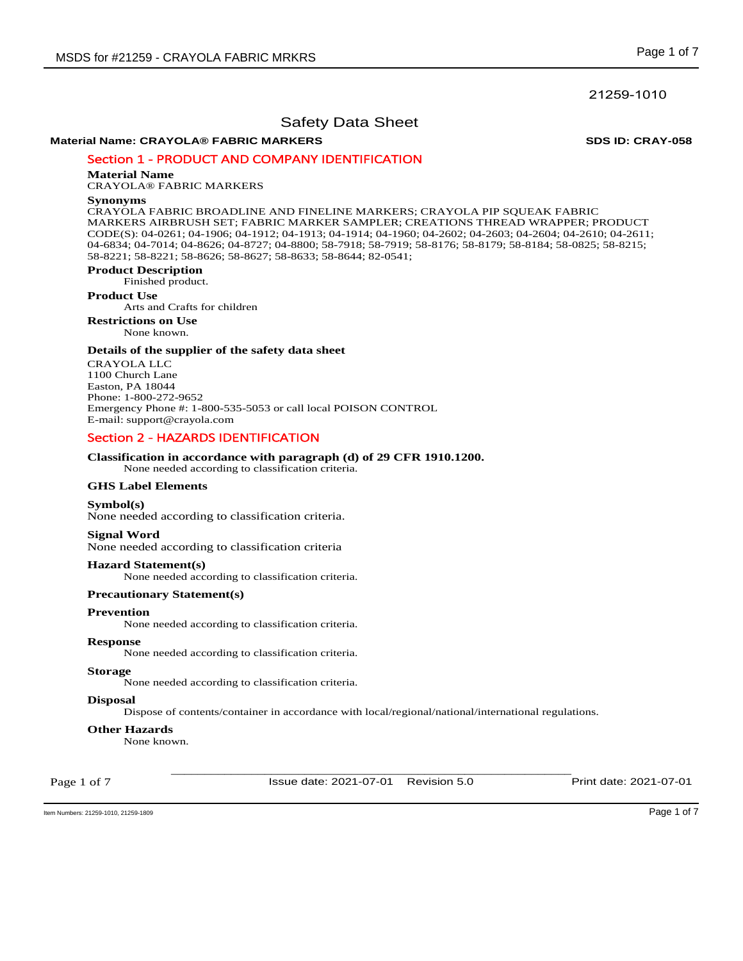# 21259-1010

# Safety Data Sheet

# **Material Name: CRAYOLA® FABRIC MARKERS SDS ID: CRAY-058**

# Section 1 - PRODUCT AND COMPANY IDENTIFICATION

# **Material Name**

CRAYOLA® FABRIC MARKERS

### **Synonyms**

CRAYOLA FABRIC BROADLINE AND FINELINE MARKERS; CRAYOLA PIP SQUEAK FABRIC MARKERS AIRBRUSH SET; FABRIC MARKER SAMPLER; CREATIONS THREAD WRAPPER; PRODUCT CODE(S): 04-0261; 04-1906; 04-1912; 04-1913; 04-1914; 04-1960; 04-2602; 04-2603; 04-2604; 04-2610; 04-2611; 04-6834; 04-7014; 04-8626; 04-8727; 04-8800; 58-7918; 58-7919; 58-8176; 58-8179; 58-8184; 58-0825; 58-8215; 58-8221; 58-8221; 58-8626; 58-8627; 58-8633; 58-8644; 82-0541;

# **Product Description**

Finished product.

### **Product Use**

Arts and Crafts for children

**Restrictions on Use**

# None known.

### **Details of the supplier of the safety data sheet**

CRAYOLA LLC 1100 Church Lane Easton, PA 18044 Phone: 1-800-272-9652 Emergency Phone #: 1-800-535-5053 or call local POISON CONTROL E-mail: support@crayola.com

# Section 2 - HAZARDS IDENTIFICATION

# **Classification in accordance with paragraph (d) of 29 CFR 1910.1200.**

None needed according to classification criteria.

## **GHS Label Elements**

### **Symbol(s)**

None needed according to classification criteria.

### **Signal Word**

None needed according to classification criteria

### **Hazard Statement(s)**

None needed according to classification criteria.

### **Precautionary Statement(s)**

## **Prevention**

None needed according to classification criteria.

### **Response**

None needed according to classification criteria.

# **Storage**

None needed according to classification criteria.

### **Disposal**

Dispose of contents/container in accordance with local/regional/national/international regulations.

### **Other Hazards**

None known.

Page 1 of 7

\_\_\_\_\_\_\_\_\_\_\_\_\_\_\_\_\_\_\_\_\_\_\_\_\_\_\_\_\_\_\_\_\_\_\_\_\_\_\_\_\_\_\_\_\_\_\_\_\_\_\_\_\_\_\_\_\_\_\_\_ Issue date: 2021-07-01 Revision 5.0 Print date: 2021-07-01

Item Numbers: 21259-1010, 21259-1809 Page 1 of 7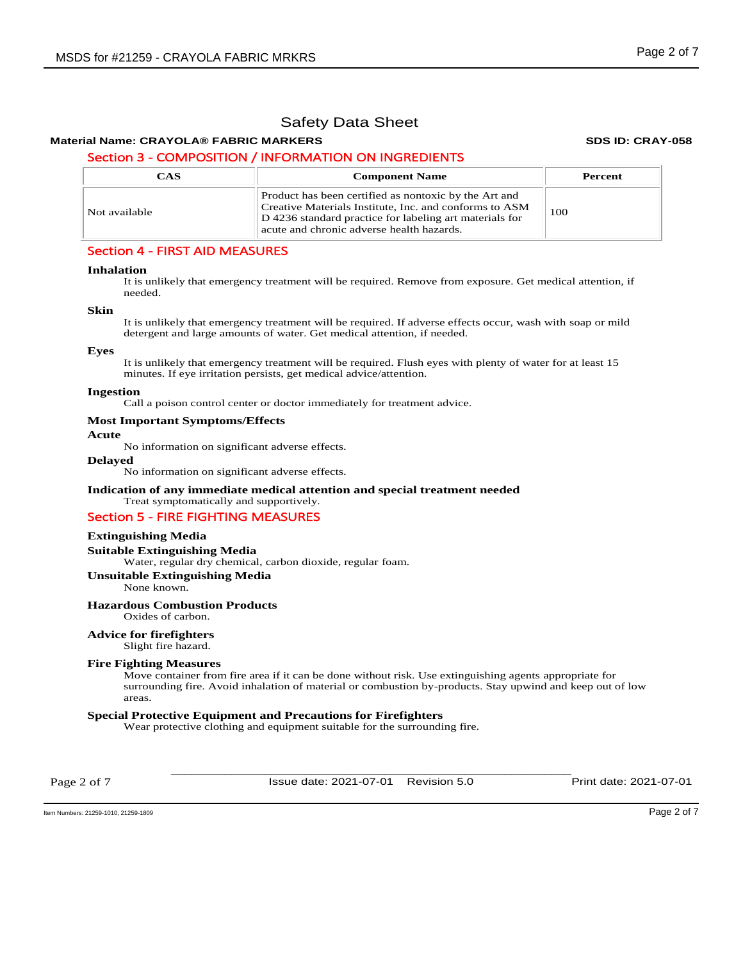# **Material Name: CRAYOLA® FABRIC MARKERS SDS ID: CRAY-058**

# Section 3 - COMPOSITION / INFORMATION ON INGREDIENTS

| CAS           | <b>Component Name</b>                                                                                                                                                                                                   | Percent |
|---------------|-------------------------------------------------------------------------------------------------------------------------------------------------------------------------------------------------------------------------|---------|
| Not available | Product has been certified as nontoxic by the Art and<br>Creative Materials Institute, Inc. and conforms to ASM<br>D 4236 standard practice for labeling art materials for<br>acute and chronic adverse health hazards. | 100     |

# Section 4 - FIRST AID MEASURES

### **Inhalation**

It is unlikely that emergency treatment will be required. Remove from exposure. Get medical attention, if needed.

### **Skin**

It is unlikely that emergency treatment will be required. If adverse effects occur, wash with soap or mild detergent and large amounts of water. Get medical attention, if needed.

# **Eyes**

It is unlikely that emergency treatment will be required. Flush eyes with plenty of water for at least 15 minutes. If eye irritation persists, get medical advice/attention.

### **Ingestion**

Call a poison control center or doctor immediately for treatment advice.

### **Most Important Symptoms/Effects**

**Acute** 

No information on significant adverse effects.

### **Delayed**

No information on significant adverse effects.

# **Indication of any immediate medical attention and special treatment needed**

# Treat symptomatically and supportively. Section 5 - FIRE FIGHTING MEASURES

# **Extinguishing Media**

**Suitable Extinguishing Media** 

Water, regular dry chemical, carbon dioxide, regular foam.

**Unsuitable Extinguishing Media**

None known.

### **Hazardous Combustion Products**

Oxides of carbon.

# **Advice for firefighters**

Slight fire hazard.

### **Fire Fighting Measures**

Move container from fire area if it can be done without risk. Use extinguishing agents appropriate for surrounding fire. Avoid inhalation of material or combustion by-products. Stay upwind and keep out of low areas.

### **Special Protective Equipment and Precautions for Firefighters**

Wear protective clothing and equipment suitable for the surrounding fire.

Page 2 of 7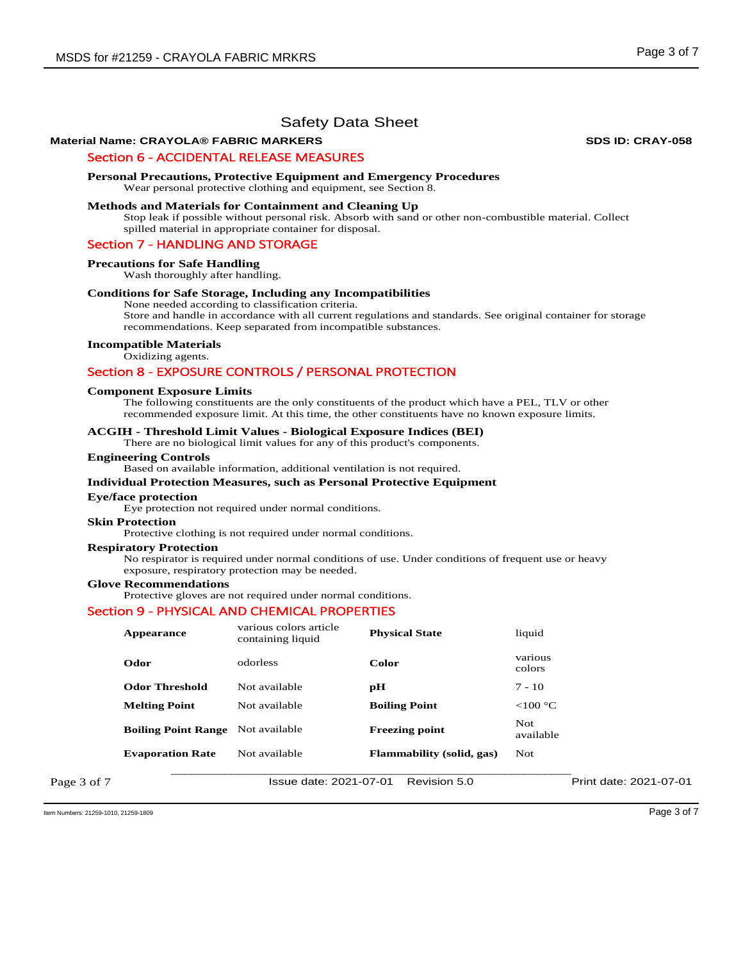# **Material Name: CRAYOLA® FABRIC MARKERS SDS ID: CRAY-058**

## Section 6 - ACCIDENTAL RELEASE MEASURES

### **Personal Precautions, Protective Equipment and Emergency Procedures**

Wear personal protective clothing and equipment, see Section 8.

# **Methods and Materials for Containment and Cleaning Up**

Stop leak if possible without personal risk. Absorb with sand or other non-combustible material. Collect spilled material in appropriate container for disposal.

### Section 7 - HANDLING AND STORAGE

### **Precautions for Safe Handling**

Wash thoroughly after handling.

## **Conditions for Safe Storage, Including any Incompatibilities**

None needed according to classification criteria.

Store and handle in accordance with all current regulations and standards. See original container for storage recommendations. Keep separated from incompatible substances.

### **Incompatible Materials**

Oxidizing agents.

# Section 8 - EXPOSURE CONTROLS / PERSONAL PROTECTION

### **Component Exposure Limits**

The following constituents are the only constituents of the product which have a PEL, TLV or other recommended exposure limit. At this time, the other constituents have no known exposure limits.

### **ACGIH - Threshold Limit Values - Biological Exposure Indices (BEI)**

There are no biological limit values for any of this product's components.

### **Engineering Controls**

Based on available information, additional ventilation is not required.

### **Individual Protection Measures, such as Personal Protective Equipment**

### **Eye/face protection**

Eye protection not required under normal conditions.

### **Skin Protection**

Protective clothing is not required under normal conditions.

### **Respiratory Protection**

No respirator is required under normal conditions of use. Under conditions of frequent use or heavy exposure, respiratory protection may be needed.

### **Glove Recommendations**

Protective gloves are not required under normal conditions.

### Section 9 - PHYSICAL AND CHEMICAL PROPERTIES

|             | Appearance                 | various colors article<br>containing liquid | <b>Physical State</b>            | liquid                  |                        |
|-------------|----------------------------|---------------------------------------------|----------------------------------|-------------------------|------------------------|
|             | Odor                       | odorless                                    | Color                            | various<br>colors       |                        |
|             | <b>Odor Threshold</b>      | Not available                               | рH                               | $7 - 10$                |                        |
|             | <b>Melting Point</b>       | Not available                               | <b>Boiling Point</b>             | $<$ 100 °C              |                        |
|             | <b>Boiling Point Range</b> | Not available                               | <b>Freezing point</b>            | <b>Not</b><br>available |                        |
|             | <b>Evaporation Rate</b>    | Not available                               | <b>Flammability</b> (solid, gas) | <b>Not</b>              |                        |
| Page 3 of 7 |                            | Issue date: 2021-07-01                      | Revision 5.0                     |                         | Print date: 2021-07-01 |

Item Numbers: 21259-1010, 21259-1809 Page 3 of 7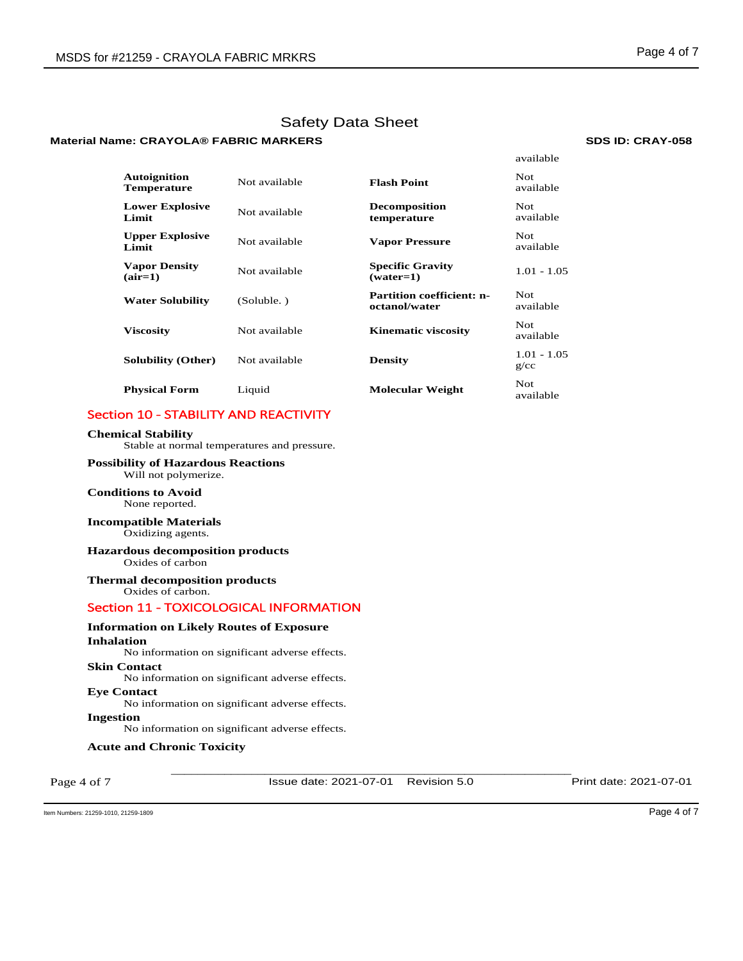# **Material Name: CRAYOLA® FABRIC MARKERS SDS ID: CRAY-058**

|                                           |               |                                                   | available             |
|-------------------------------------------|---------------|---------------------------------------------------|-----------------------|
| <b>Autoignition</b><br><b>Temperature</b> | Not available | <b>Flash Point</b>                                | Not<br>available      |
| <b>Lower Explosive</b><br>Limit           | Not available | <b>Decomposition</b><br>temperature               | Not.<br>available     |
| <b>Upper Explosive</b><br>Limit           | Not available | <b>Vapor Pressure</b>                             | Not<br>available      |
| <b>Vapor Density</b><br>$(air=1)$         | Not available | <b>Specific Gravity</b><br>$(water=1)$            | $1.01 - 1.05$         |
| <b>Water Solubility</b>                   | (Soluble.)    | <b>Partition coefficient: n-</b><br>octanol/water | Not.<br>available     |
| <b>Viscosity</b>                          | Not available | <b>Kinematic viscosity</b>                        | Not.<br>available     |
| <b>Solubility (Other)</b>                 | Not available | <b>Density</b>                                    | $1.01 - 1.05$<br>g/cc |
| <b>Physical Form</b>                      | Liquid        | <b>Molecular Weight</b>                           | Not.<br>available     |

# Section 10 - STABILITY AND REACTIVITY

# **Chemical Stability**

Stable at normal temperatures and pressure.

## **Possibility of Hazardous Reactions** Will not polymerize.

**Conditions to Avoid** None reported.

## **Incompatible Materials** Oxidizing agents.

### **Hazardous decomposition products**  Oxides of carbon

**Thermal decomposition products**  Oxides of carbon.

# Section 11 - TOXICOLOGICAL INFORMATION

# **Information on Likely Routes of Exposure**

**Inhalation**  No information on significant adverse effects.

# **Skin Contact**

No information on significant adverse effects.

# **Eye Contact**

No information on significant adverse effects.

# **Ingestion**

No information on significant adverse effects.

# **Acute and Chronic Toxicity**

Page 4 of 7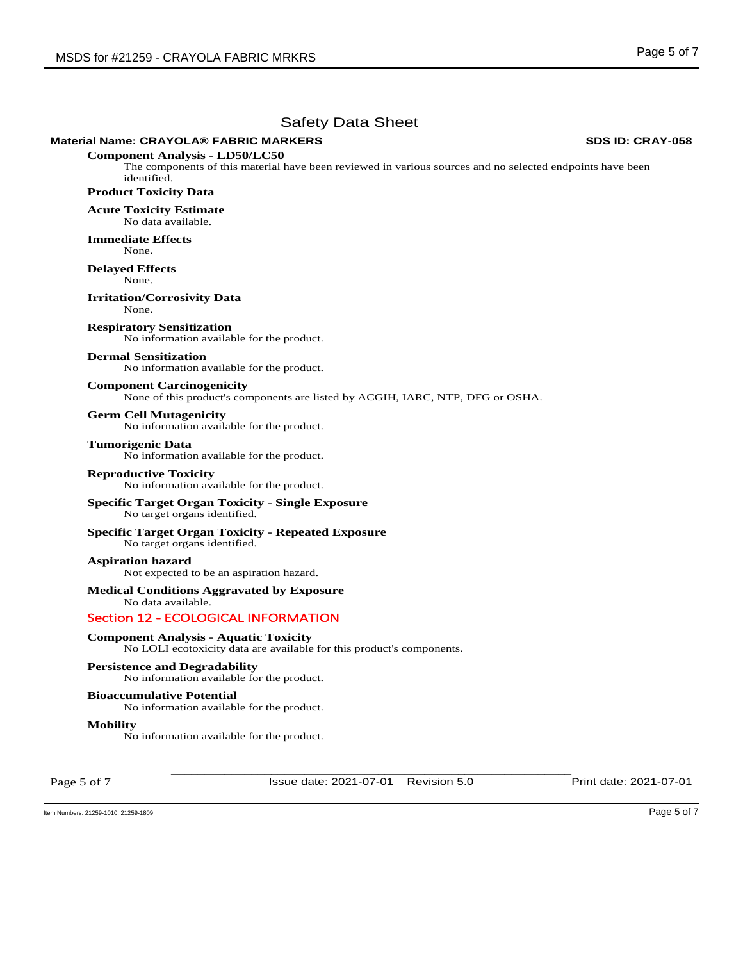# **Material Name: CRAYOLA® FABRIC MARKERS SDS ID: CRAY-058**

**Component Analysis - LD50/LC50**  The components of this material have been reviewed in various sources and no selected endpoints have been identified.

**Product Toxicity Data** 

**Acute Toxicity Estimate**  No data available.

**Immediate Effects** 

None.

**Delayed Effects**  None.

**Irritation/Corrosivity Data**  None.

**Respiratory Sensitization**  No information available for the product.

# **Dermal Sensitization**

No information available for the product.

## **Component Carcinogenicity**

None of this product's components are listed by ACGIH, IARC, NTP, DFG or OSHA.

## **Germ Cell Mutagenicity**

No information available for the product.

## **Tumorigenic Data**

No information available for the product.

### **Reproductive Toxicity**  No information available for the product.

## **Specific Target Organ Toxicity - Single Exposure**  No target organs identified.

**Specific Target Organ Toxicity - Repeated Exposure**  No target organs identified.

# **Aspiration hazard**

Not expected to be an aspiration hazard.

# **Medical Conditions Aggravated by Exposure**

No data available.

# Section 12 - ECOLOGICAL INFORMATION

# **Component Analysis - Aquatic Toxicity**

No LOLI ecotoxicity data are available for this product's components.

## **Persistence and Degradability**

No information available for the product.

## **Bioaccumulative Potential**

No information available for the product.

### **Mobility**

No information available for the product.

Page 5 of 7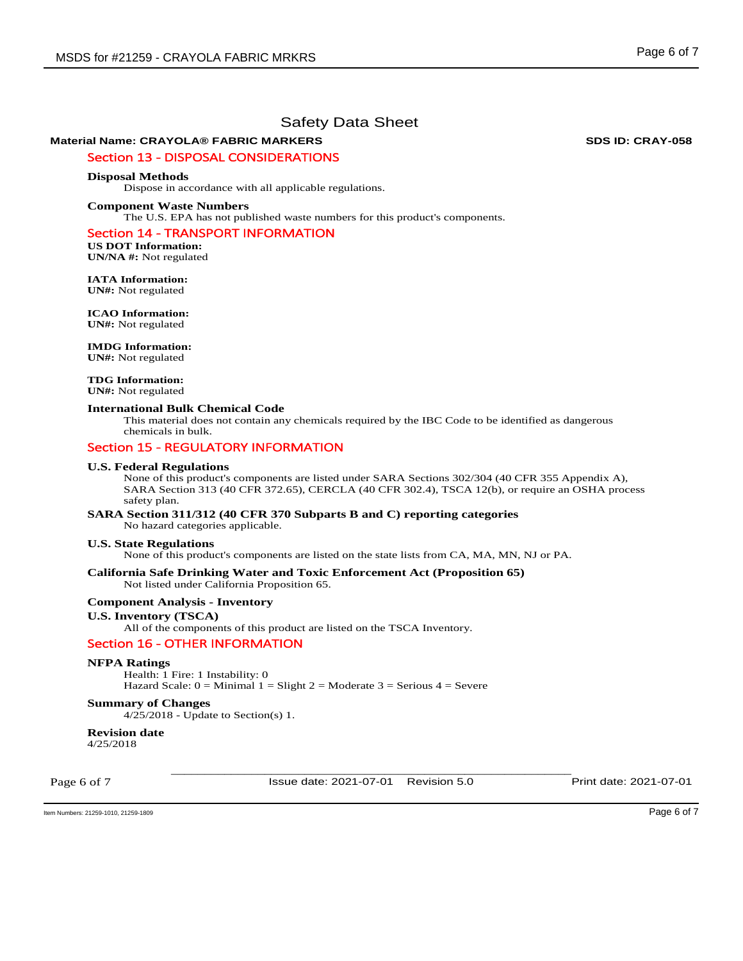# **Material Name: CRAYOLA® FABRIC MARKERS SDS ID: CRAY-058**

# Section 13 - DISPOSAL CONSIDERATIONS

### **Disposal Methods**

Dispose in accordance with all applicable regulations.

### **Component Waste Numbers**

The U.S. EPA has not published waste numbers for this product's components.

## Section 14 - TRANSPORT INFORMATION

**US DOT Information: UN/NA #:** Not regulated

**IATA Information: UN#:** Not regulated

**ICAO Information: UN#:** Not regulated

# **IMDG Information:**

**UN#:** Not regulated

**TDG Information: UN#:** Not regulated

### **International Bulk Chemical Code**

This material does not contain any chemicals required by the IBC Code to be identified as dangerous chemicals in bulk.

# Section 15 - REGULATORY INFORMATION

### **U.S. Federal Regulations**

None of this product's components are listed under SARA Sections 302/304 (40 CFR 355 Appendix A), SARA Section 313 (40 CFR 372.65), CERCLA (40 CFR 302.4), TSCA 12(b), or require an OSHA process safety plan.

# **SARA Section 311/312 (40 CFR 370 Subparts B and C) reporting categories**

No hazard categories applicable.

### **U.S. State Regulations**

None of this product's components are listed on the state lists from CA, MA, MN, NJ or PA.

# **California Safe Drinking Water and Toxic Enforcement Act (Proposition 65)**

Not listed under California Proposition 65.

## **Component Analysis - Inventory**

## **U.S. Inventory (TSCA)**

All of the components of this product are listed on the TSCA Inventory.

# Section 16 - OTHER INFORMATION

### **NFPA Ratings**

Health: 1 Fire: 1 Instability: 0 Hazard Scale:  $0 =$  Minimal  $1 =$  Slight  $2 =$  Moderate  $3 =$  Serious  $4 =$  Severe

### **Summary of Changes**

4/25/2018 - Update to Section(s) 1.

### **Revision date**  4/25/2018

Page 6 of 7

\_\_\_\_\_\_\_\_\_\_\_\_\_\_\_\_\_\_\_\_\_\_\_\_\_\_\_\_\_\_\_\_\_\_\_\_\_\_\_\_\_\_\_\_\_\_\_\_\_\_\_\_\_\_\_\_\_\_\_\_ Issue date: 2021-07-01 Revision 5.0 Print date: 2021-07-01

Item Numbers: 21259-1010, 21259-1809 Page 6 of 7